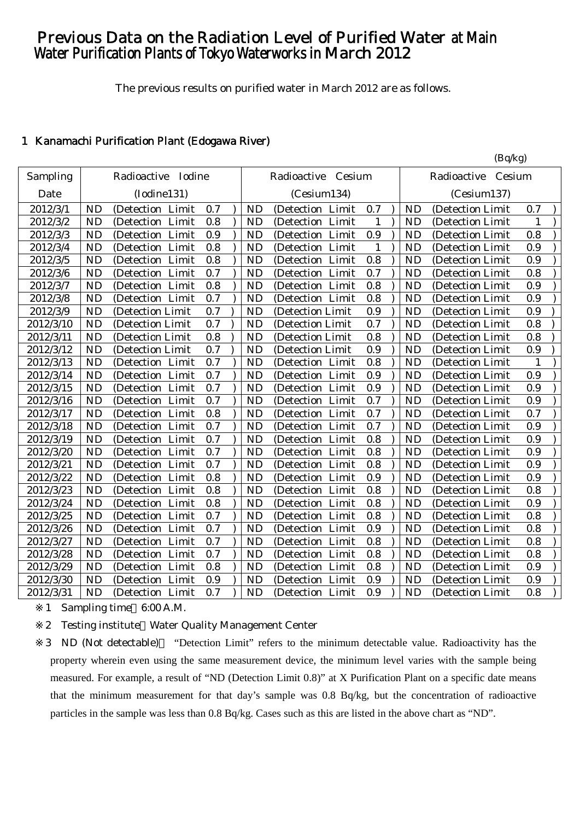# Previous Data on the Radiation Level of Purified Water at Main Water Purification Plants of Tokyo Waterworks in March 2012

The previous results on purified water in March 2012 are as follows.

 $(R_0/k_0)$ 

## 1 Kanamachi Purification Plant (Edogawa River)

|           |           | Radioactive Iodine   |     |           | Radioactive Cesium   |     |           | $(\nu q \nu_{5})$<br>Radioactive<br>Cesium |     |
|-----------|-----------|----------------------|-----|-----------|----------------------|-----|-----------|--------------------------------------------|-----|
| Sampling  |           |                      |     |           |                      |     |           |                                            |     |
| Date      |           | (Iodine131)          |     |           | (Cesium134)          |     |           | (Cesium137)                                |     |
| 2012/3/1  | <b>ND</b> | (Detection Limit     | 0.7 | <b>ND</b> | (Detection Limit     | 0.7 | <b>ND</b> | (Detection Limit                           | 0.7 |
| 2012/3/2  | <b>ND</b> | (Detection Limit     | 0.8 | <b>ND</b> | (Detection Limit     | 1   | <b>ND</b> | (Detection Limit                           | 1   |
| 2012/3/3  | <b>ND</b> | (Detection Limit     | 0.9 | <b>ND</b> | (Detection Limit     | 0.9 | <b>ND</b> | (Detection Limit                           | 0.8 |
| 2012/3/4  | <b>ND</b> | (Detection Limit     | 0.8 | <b>ND</b> | (Detection Limit     | 1   | <b>ND</b> | (Detection Limit                           | 0.9 |
| 2012/3/5  | <b>ND</b> | (Detection Limit     | 0.8 | <b>ND</b> | (Detection Limit     | 0.8 | <b>ND</b> | (Detection Limit                           | 0.9 |
| 2012/3/6  | <b>ND</b> | Limit<br>(Detection  | 0.7 | <b>ND</b> | Limit<br>(Detection  | 0.7 | <b>ND</b> | (Detection Limit                           | 0.8 |
| 2012/3/7  | <b>ND</b> | (Detection Limit     | 0.8 | <b>ND</b> | (Detection Limit     | 0.8 | <b>ND</b> | (Detection Limit                           | 0.9 |
| 2012/3/8  | <b>ND</b> | (Detection Limit     | 0.7 | <b>ND</b> | (Detection Limit     | 0.8 | <b>ND</b> | (Detection Limit                           | 0.9 |
| 2012/3/9  | <b>ND</b> | (Detection Limit     | 0.7 | <b>ND</b> | (Detection Limit     | 0.9 | <b>ND</b> | (Detection Limit                           | 0.9 |
| 2012/3/10 | <b>ND</b> | (Detection Limit     | 0.7 | <b>ND</b> | (Detection Limit     | 0.7 | <b>ND</b> | (Detection Limit)                          | 0.8 |
| 2012/3/11 | <b>ND</b> | (Detection Limit     | 0.8 | <b>ND</b> | (Detection Limit     | 0.8 | <b>ND</b> | (Detection Limit                           | 0.8 |
| 2012/3/12 | <b>ND</b> | (Detection Limit     | 0.7 | <b>ND</b> | (Detection Limit     | 0.9 | <b>ND</b> | (Detection Limit                           | 0.9 |
| 2012/3/13 | <b>ND</b> | (Detection Limit     | 0.7 | <b>ND</b> | (Detection Limit     | 0.8 | <b>ND</b> | (Detection Limit                           | 1   |
| 2012/3/14 | <b>ND</b> | (Detection Limit     | 0.7 | <b>ND</b> | (Detection Limit     | 0.9 | <b>ND</b> | (Detection Limit                           | 0.9 |
| 2012/3/15 | <b>ND</b> | (Detection Limit     | 0.7 | <b>ND</b> | (Detection Limit     | 0.9 | <b>ND</b> | (Detection Limit)                          | 0.9 |
| 2012/3/16 | <b>ND</b> | (Detection Limit     | 0.7 | <b>ND</b> | (Detection Limit     | 0.7 | <b>ND</b> | (Detection Limit                           | 0.9 |
| 2012/3/17 | <b>ND</b> | (Detection Limit     | 0.8 | <b>ND</b> | (Detection Limit     | 0.7 | <b>ND</b> | (Detection Limit                           | 0.7 |
| 2012/3/18 | <b>ND</b> | (Detection Limit     | 0.7 | <b>ND</b> | (Detection Limit     | 0.7 | <b>ND</b> | (Detection Limit                           | 0.9 |
| 2012/3/19 | <b>ND</b> | (Detection Limit     | 0.7 | <b>ND</b> | (Detection Limit     | 0.8 | <b>ND</b> | (Detection Limit                           | 0.9 |
| 2012/3/20 | <b>ND</b> | (Detection Limit     | 0.7 | <b>ND</b> | (Detection Limit     | 0.8 | <b>ND</b> | (Detection Limit                           | 0.9 |
| 2012/3/21 | <b>ND</b> | (Detection Limit     | 0.7 | <b>ND</b> | (Detection Limit     | 0.8 | <b>ND</b> | (Detection Limit                           | 0.9 |
| 2012/3/22 | <b>ND</b> | Limit<br>(Detection  | 0.8 | <b>ND</b> | (Detection Limit     | 0.9 | <b>ND</b> | (Detection Limit                           | 0.9 |
| 2012/3/23 | <b>ND</b> | Limit<br>(Detection) | 0.8 | <b>ND</b> | (Detection<br>Limit  | 0.8 | <b>ND</b> | (Detection Limit                           | 0.8 |
| 2012/3/24 | <b>ND</b> | (Detection<br>Limit  | 0.8 | <b>ND</b> | (Detection<br>Limit  | 0.8 | <b>ND</b> | (Detection Limit                           | 0.9 |
| 2012/3/25 | <b>ND</b> | Limit<br>(Detection  | 0.7 | <b>ND</b> | (Detection)<br>Limit | 0.8 | <b>ND</b> | (Detection Limit                           | 0.8 |
| 2012/3/26 | <b>ND</b> | (Detection Limit     | 0.7 | <b>ND</b> | (Detection Limit     | 0.9 | <b>ND</b> | (Detection Limit                           | 0.8 |
| 2012/3/27 | <b>ND</b> | (Detection Limit     | 0.7 | <b>ND</b> | (Detection Limit     | 0.8 | <b>ND</b> | (Detection Limit)                          | 0.8 |
| 2012/3/28 | <b>ND</b> | Limit<br>(Detection  | 0.7 | <b>ND</b> | Limit<br>(Detection) | 0.8 | <b>ND</b> | (Detection Limit                           | 0.8 |
| 2012/3/29 | <b>ND</b> | (Detection Limit     | 0.8 | <b>ND</b> | (Detection Limit     | 0.8 | <b>ND</b> | (Detection Limit                           | 0.9 |
| 2012/3/30 | <b>ND</b> | (Detection Limit     | 0.9 | <b>ND</b> | (Detection Limit     | 0.9 | <b>ND</b> | (Detection Limit                           | 0.9 |
| 2012/3/31 | <b>ND</b> | (Detection Limit     | 0.7 | <b>ND</b> | (Detection Limit     | 0.9 | <b>ND</b> | (Detection Limit                           | 0.8 |

1 Sampling time 6:00 A.M.

2 Testing institute Water Quality Management Center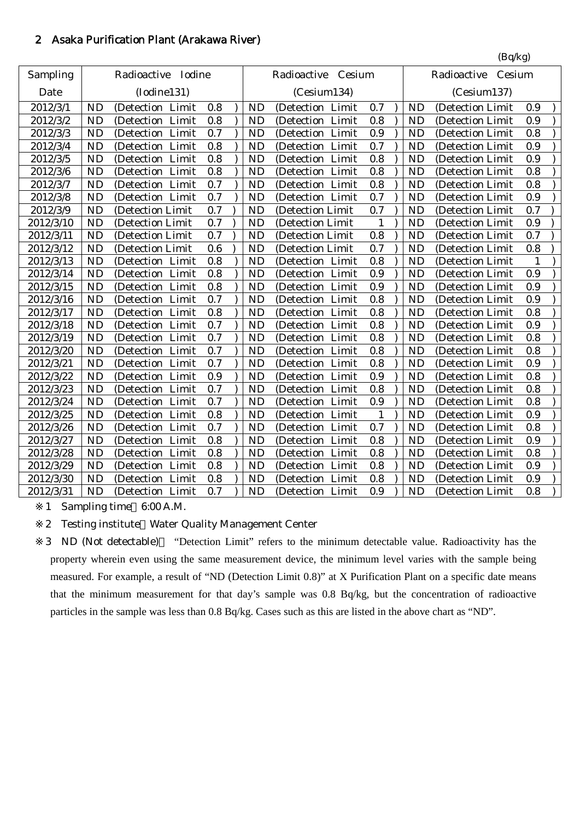# 2 Asaka Purification Plant (Arakawa River)

|           |           |                      |         |           |                     |              |           | (Bq/kg)               |     |
|-----------|-----------|----------------------|---------|-----------|---------------------|--------------|-----------|-----------------------|-----|
| Sampling  |           | Radioactive Iodine   |         |           | Radioactive Cesium  |              |           | Cesium<br>Radioactive |     |
| Date      |           | (Iodine131)          |         |           | (Cesium134)         |              |           | (Cesium137)           |     |
| 2012/3/1  | <b>ND</b> | (Detection Limit     | 0.8     | <b>ND</b> | (Detection Limit    | 0.7          | <b>ND</b> | (Detection Limit      | 0.9 |
| 2012/3/2  | <b>ND</b> | (Detection Limit     | 0.8     | <b>ND</b> | (Detection Limit    | 0.8          | <b>ND</b> | (Detection Limit      | 0.9 |
| 2012/3/3  | <b>ND</b> | (Detection Limit     | 0.7     | <b>ND</b> | (Detection Limit    | 0.9          | <b>ND</b> | (Detection Limit      | 0.8 |
| 2012/3/4  | <b>ND</b> | (Detection<br>Limit  | 0.8     | <b>ND</b> | (Detection Limit    | 0.7          | <b>ND</b> | (Detection Limit      | 0.9 |
| 2012/3/5  | <b>ND</b> | (Detection Limit     | 0.8     | <b>ND</b> | (Detection Limit    | 0.8          | <b>ND</b> | (Detection Limit      | 0.9 |
| 2012/3/6  | <b>ND</b> | (Detection Limit     | 0.8     | <b>ND</b> | (Detection Limit    | 0.8          | <b>ND</b> | (Detection Limit      | 0.8 |
| 2012/3/7  | <b>ND</b> | (Detection Limit     | 0.7     | <b>ND</b> | (Detection Limit    | 0.8          | <b>ND</b> | (Detection Limit      | 0.8 |
| 2012/3/8  | <b>ND</b> | (Detection Limit     | 0.7     | <b>ND</b> | (Detection Limit    | 0.7          | <b>ND</b> | (Detection Limit      | 0.9 |
| 2012/3/9  | <b>ND</b> | (Detection Limit     | 0.7     | <b>ND</b> | (Detection Limit    | 0.7          | <b>ND</b> | (Detection Limit      | 0.7 |
| 2012/3/10 | <b>ND</b> | (Detection Limit     | 0.7     | <b>ND</b> | (Detection Limit    | 1            | <b>ND</b> | (Detection Limit      | 0.9 |
| 2012/3/11 | <b>ND</b> | (Detection Limit     | 0.7     | <b>ND</b> | (Detection Limit    | 0.8          | <b>ND</b> | (Detection Limit      | 0.7 |
| 2012/3/12 | <b>ND</b> | (Detection Limit     | 0.6     | <b>ND</b> | (Detection Limit    | 0.7          | <b>ND</b> | (Detection Limit      | 0.8 |
| 2012/3/13 | <b>ND</b> | (Detection Limit     | 0.8     | <b>ND</b> | (Detection Limit    | 0.8          | <b>ND</b> | (Detection Limit      | 1   |
| 2012/3/14 | <b>ND</b> | (Detection Limit     | 0.8     | <b>ND</b> | (Detection Limit    | 0.9          | <b>ND</b> | (Detection Limit      | 0.9 |
| 2012/3/15 | <b>ND</b> | (Detection Limit     | 0.8     | <b>ND</b> | (Detection Limit    | 0.9          | <b>ND</b> | (Detection Limit      | 0.9 |
| 2012/3/16 | <b>ND</b> | Limit<br>(Detection) | 0.7     | <b>ND</b> | (Detection Limit    | 0.8          | <b>ND</b> | (Detection Limit      | 0.9 |
| 2012/3/17 | <b>ND</b> | Limit<br>(Detection  | 0.8     | <b>ND</b> | (Detection Limit    | 0.8          | <b>ND</b> | (Detection Limit)     | 0.8 |
| 2012/3/18 | <b>ND</b> | (Detection Limit     | 0.7     | <b>ND</b> | (Detection Limit    | 0.8          | <b>ND</b> | (Detection Limit      | 0.9 |
| 2012/3/19 | <b>ND</b> | Limit<br>(Detection  | 0.7     | <b>ND</b> | Limit<br>(Detection | 0.8          | <b>ND</b> | (Detection Limit      | 0.8 |
| 2012/3/20 | <b>ND</b> | (Detection Limit     | 0.7     | <b>ND</b> | (Detection Limit    | 0.8          | <b>ND</b> | (Detection Limit      | 0.8 |
| 2012/3/21 | <b>ND</b> | (Detection Limit     | 0.7     | <b>ND</b> | (Detection Limit    | 0.8          | <b>ND</b> | (Detection Limit      | 0.9 |
| 2012/3/22 | <b>ND</b> | (Detection Limit     | 0.9     | <b>ND</b> | (Detection Limit    | 0.9          | <b>ND</b> | (Detection Limit      | 0.8 |
| 2012/3/23 | <b>ND</b> | Limit<br>(Detection) | 0.7     | <b>ND</b> | (Detection Limit    | 0.8          | <b>ND</b> | (Detection Limit      | 0.8 |
| 2012/3/24 | <b>ND</b> | Limit<br>(Detection  | 0.7     | <b>ND</b> | (Detection Limit    | 0.9          | <b>ND</b> | (Detection Limit      | 0.8 |
| 2012/3/25 | <b>ND</b> | (Detection Limit     | 0.8     | <b>ND</b> | (Detection Limit    | $\mathbf{1}$ | <b>ND</b> | (Detection Limit      | 0.9 |
| 2012/3/26 | <b>ND</b> | (Detection Limit     | 0.7     | <b>ND</b> | (Detection Limit    | 0.7          | <b>ND</b> | (Detection Limit      | 0.8 |
| 2012/3/27 | <b>ND</b> | (Detection Limit     | 0.8     | <b>ND</b> | (Detection Limit    | 0.8          | <b>ND</b> | (Detection Limit      | 0.9 |
| 2012/3/28 | <b>ND</b> | (Detection Limit     | 0.8     | <b>ND</b> | (Detection Limit    | 0.8          | <b>ND</b> | (Detection Limit      | 0.8 |
| 2012/3/29 | <b>ND</b> | (Detection Limit     | $0.8\,$ | <b>ND</b> | (Detection Limit    | 0.8          | <b>ND</b> | (Detection Limit      | 0.9 |
| 2012/3/30 | <b>ND</b> | (Detection Limit     | 0.8     | <b>ND</b> | (Detection Limit    | 0.8          | <b>ND</b> | (Detection Limit      | 0.9 |
| 2012/3/31 | <b>ND</b> | (Detection Limit     | 0.7     | <b>ND</b> | (Detection Limit    | 0.9          | <b>ND</b> | (Detection Limit      | 0.8 |

1 Sampling time 6:00 A.M.

2 Testing institute Water Quality Management Center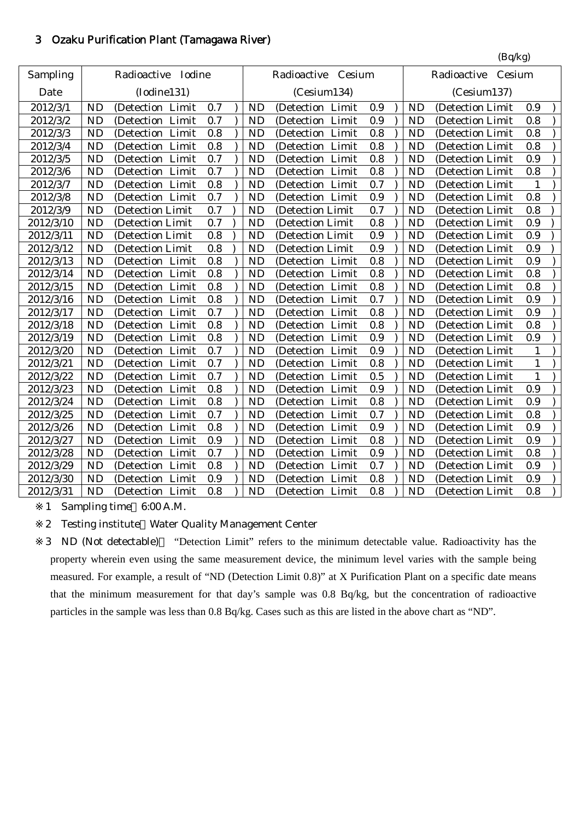## 3 Ozaku Purification Plant (Tamagawa River)

|           |           |                       |         |           |                     |         |           | (Bq/kg)               |              |  |
|-----------|-----------|-----------------------|---------|-----------|---------------------|---------|-----------|-----------------------|--------------|--|
| Sampling  |           | Radioactive<br>Iodine |         |           | Radioactive Cesium  |         |           | Radioactive<br>Cesium |              |  |
| Date      |           | (Iodine131)           |         |           | (Cesium134)         |         |           | (Cesium137)           |              |  |
| 2012/3/1  | ND        | (Detection Limit      | 0.7     | <b>ND</b> | (Detection Limit    | 0.9     | <b>ND</b> | (Detection Limit      | 0.9          |  |
| 2012/3/2  | <b>ND</b> | (Detection Limit      | 0.7     | <b>ND</b> | (Detection Limit    | 0.9     | <b>ND</b> | (Detection Limit      | 0.8          |  |
| 2012/3/3  | <b>ND</b> | (Detection Limit      | 0.8     | <b>ND</b> | (Detection Limit    | 0.8     | <b>ND</b> | (Detection Limit      | 0.8          |  |
| 2012/3/4  | <b>ND</b> | (Detection Limit      | 0.8     | <b>ND</b> | (Detection Limit    | 0.8     | <b>ND</b> | (Detection Limit      | 0.8          |  |
| 2012/3/5  | <b>ND</b> | (Detection Limit      | 0.7     | <b>ND</b> | (Detection Limit    | 0.8     | <b>ND</b> | (Detection Limit      | 0.9          |  |
| 2012/3/6  | <b>ND</b> | (Detection Limit      | 0.7     | <b>ND</b> | (Detection Limit    | 0.8     | <b>ND</b> | (Detection Limit      | 0.8          |  |
| 2012/3/7  | <b>ND</b> | (Detection Limit      | 0.8     | <b>ND</b> | (Detection Limit    | 0.7     | <b>ND</b> | (Detection Limit      | 1            |  |
| 2012/3/8  | <b>ND</b> | (Detection Limit      | 0.7     | <b>ND</b> | (Detection Limit    | 0.9     | <b>ND</b> | (Detection Limit      | 0.8          |  |
| 2012/3/9  | <b>ND</b> | (Detection Limit      | 0.7     | <b>ND</b> | (Detection Limit    | 0.7     | <b>ND</b> | (Detection Limit      | 0.8          |  |
| 2012/3/10 | <b>ND</b> | (Detection Limit      | 0.7     | <b>ND</b> | (Detection Limit    | 0.8     | <b>ND</b> | (Detection Limit      | 0.9          |  |
| 2012/3/11 | <b>ND</b> | (Detection Limit      | $0.8\,$ | <b>ND</b> | (Detection Limit    | 0.9     | <b>ND</b> | (Detection Limit      | 0.9          |  |
| 2012/3/12 | <b>ND</b> | (Detection Limit      | 0.8     | <b>ND</b> | (Detection Limit    | 0.9     | <b>ND</b> | (Detection Limit      | 0.9          |  |
| 2012/3/13 | <b>ND</b> | (Detection Limit      | 0.8     | <b>ND</b> | (Detection Limit    | 0.8     | <b>ND</b> | (Detection Limit      | 0.9          |  |
| 2012/3/14 | <b>ND</b> | Limit<br>(Detection)  | 0.8     | <b>ND</b> | (Detection<br>Limit | 0.8     | <b>ND</b> | (Detection Limit      | 0.8          |  |
| 2012/3/15 | <b>ND</b> | (Detection Limit      | 0.8     | <b>ND</b> | (Detection Limit    | 0.8     | <b>ND</b> | (Detection Limit      | 0.8          |  |
| 2012/3/16 | <b>ND</b> | (Detection Limit      | 0.8     | <b>ND</b> | (Detection Limit    | 0.7     | <b>ND</b> | (Detection Limit      | 0.9          |  |
| 2012/3/17 | <b>ND</b> | (Detection<br>Limit   | 0.7     | <b>ND</b> | (Detection Limit    | 0.8     | <b>ND</b> | (Detection Limit      | 0.9          |  |
| 2012/3/18 | <b>ND</b> | (Detection)<br>Limit  | $0.8\,$ | <b>ND</b> | (Detection Limit    | 0.8     | <b>ND</b> | (Detection Limit      | 0.8          |  |
| 2012/3/19 | <b>ND</b> | (Detection Limit      | 0.8     | <b>ND</b> | (Detection Limit    | 0.9     | <b>ND</b> | (Detection Limit      | 0.9          |  |
| 2012/3/20 | <b>ND</b> | (Detection Limit      | 0.7     | <b>ND</b> | (Detection Limit    | 0.9     | <b>ND</b> | (Detection Limit      | 1            |  |
| 2012/3/21 | <b>ND</b> | (Detection Limit      | 0.7     | <b>ND</b> | (Detection Limit    | 0.8     | <b>ND</b> | (Detection Limit      | $\mathbf{1}$ |  |
| 2012/3/22 | <b>ND</b> | Limit<br>(Detection   | 0.7     | <b>ND</b> | Limit<br>(Detection | 0.5     | <b>ND</b> | (Detection Limit      | $\mathbf{1}$ |  |
| 2012/3/23 | <b>ND</b> | Limit<br>(Detection   | 0.8     | <b>ND</b> | (Detection Limit    | 0.9     | <b>ND</b> | (Detection Limit      | 0.9          |  |
| 2012/3/24 | <b>ND</b> | (Detection Limit      | 0.8     | <b>ND</b> | (Detection Limit    | 0.8     | <b>ND</b> | (Detection Limit      | 0.9          |  |
| 2012/3/25 | <b>ND</b> | (Detection<br>Limit   | 0.7     | <b>ND</b> | (Detection Limit    | 0.7     | <b>ND</b> | (Detection Limit      | 0.8          |  |
| 2012/3/26 | <b>ND</b> | (Detection<br>Limit   | 0.8     | <b>ND</b> | (Detection Limit    | 0.9     | <b>ND</b> | (Detection Limit      | 0.9          |  |
| 2012/3/27 | <b>ND</b> | (Detection Limit      | 0.9     | <b>ND</b> | (Detection Limit    | 0.8     | <b>ND</b> | (Detection Limit      | 0.9          |  |
| 2012/3/28 | <b>ND</b> | (Detection Limit      | 0.7     | <b>ND</b> | (Detection Limit    | $0.9\,$ | <b>ND</b> | (Detection Limit      | 0.8          |  |
| 2012/3/29 | <b>ND</b> | (Detection Limit      | 0.8     | <b>ND</b> | (Detection Limit    | 0.7     | <b>ND</b> | (Detection Limit      | 0.9          |  |
| 2012/3/30 | <b>ND</b> | (Detection Limit      | $0.9\,$ | <b>ND</b> | (Detection Limit    | 0.8     | <b>ND</b> | (Detection Limit      | 0.9          |  |
| 2012/3/31 | <b>ND</b> | (Detection Limit      | 0.8     | <b>ND</b> | (Detection Limit    | 0.8     | <b>ND</b> | (Detection Limit      | 0.8          |  |

1 Sampling time 6:00 A.M.

2 Testing institute Water Quality Management Center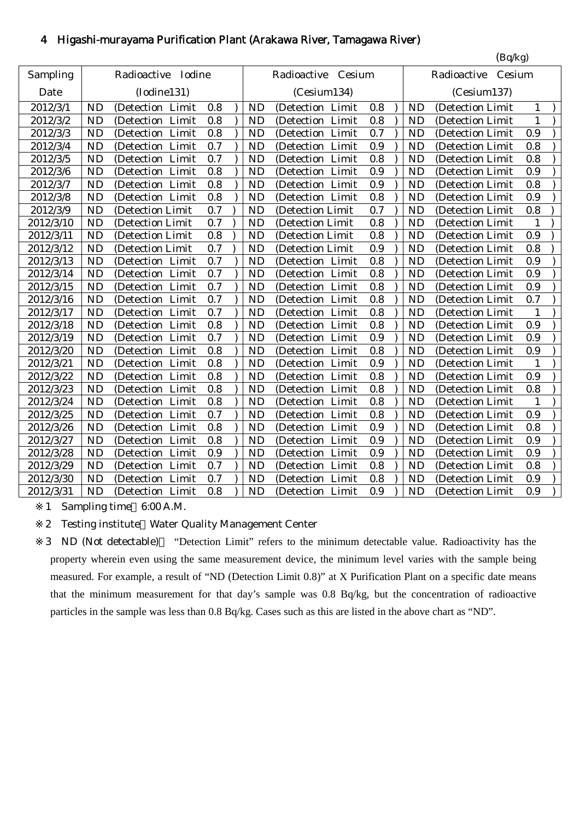# 4 Higashi-murayama Purification Plant (Arakawa River, Tamagawa River)

|           |           |                      |     |           |                      |     |           | (Bq/kg)               |              |  |
|-----------|-----------|----------------------|-----|-----------|----------------------|-----|-----------|-----------------------|--------------|--|
| Sampling  |           | Radioactive Iodine   |     |           | Radioactive Cesium   |     |           | Cesium<br>Radioactive |              |  |
| Date      |           | (Iodine131)          |     |           | (Cesium134)          |     |           | (Cesium137)           |              |  |
| 2012/3/1  | <b>ND</b> | (Detection Limit     | 0.8 | <b>ND</b> | (Detection Limit     | 0.8 | ND        | (Detection Limit      | 1            |  |
| 2012/3/2  | <b>ND</b> | (Detection Limit     | 0.8 | <b>ND</b> | (Detection Limit     | 0.8 | <b>ND</b> | (Detection Limit      | $\mathbf{1}$ |  |
| 2012/3/3  | <b>ND</b> | (Detection Limit     | 0.8 | <b>ND</b> | (Detection Limit     | 0.7 | <b>ND</b> | (Detection Limit      | 0.9          |  |
| 2012/3/4  | <b>ND</b> | (Detection Limit     | 0.7 | <b>ND</b> | (Detection Limit     | 0.9 | <b>ND</b> | (Detection Limit      | 0.8          |  |
| 2012/3/5  | <b>ND</b> | (Detection Limit     | 0.7 | <b>ND</b> | (Detection Limit     | 0.8 | <b>ND</b> | (Detection Limit      | 0.8          |  |
| 2012/3/6  | <b>ND</b> | (Detection Limit     | 0.8 | <b>ND</b> | Limit<br>(Detection  | 0.9 | <b>ND</b> | (Detection Limit      | 0.9          |  |
| 2012/3/7  | <b>ND</b> | (Detection Limit     | 0.8 | <b>ND</b> | (Detection Limit     | 0.9 | <b>ND</b> | (Detection Limit      | 0.8          |  |
| 2012/3/8  | <b>ND</b> | (Detection Limit     | 0.8 | <b>ND</b> | (Detection Limit     | 0.8 | <b>ND</b> | (Detection Limit      | 0.9          |  |
| 2012/3/9  | <b>ND</b> | (Detection Limit     | 0.7 | <b>ND</b> | (Detection Limit     | 0.7 | <b>ND</b> | (Detection Limit      | 0.8          |  |
| 2012/3/10 | <b>ND</b> | (Detection Limit     | 0.7 | <b>ND</b> | (Detection Limit     | 0.8 | <b>ND</b> | (Detection Limit      | 1            |  |
| 2012/3/11 | <b>ND</b> | (Detection Limit     | 0.8 | <b>ND</b> | (Detection Limit     | 0.8 | <b>ND</b> | (Detection Limit      | 0.9          |  |
| 2012/3/12 | <b>ND</b> | (Detection Limit     | 0.7 | <b>ND</b> | (Detection Limit     | 0.9 | <b>ND</b> | (Detection Limit      | 0.8          |  |
| 2012/3/13 | <b>ND</b> | (Detection Limit     | 0.7 | <b>ND</b> | (Detection Limit     | 0.8 | <b>ND</b> | (Detection Limit      | 0.9          |  |
| 2012/3/14 | <b>ND</b> | (Detection Limit     | 0.7 | <b>ND</b> | (Detection Limit     | 0.8 | ND        | (Detection Limit      | 0.9          |  |
| 2012/3/15 | <b>ND</b> | (Detection Limit     | 0.7 | <b>ND</b> | (Detection Limit     | 0.8 | <b>ND</b> | (Detection Limit      | 0.9          |  |
| 2012/3/16 | <b>ND</b> | (Detection Limit     | 0.7 | <b>ND</b> | (Detection Limit     | 0.8 | <b>ND</b> | (Detection Limit      | 0.7          |  |
| 2012/3/17 | <b>ND</b> | (Detection Limit     | 0.7 | <b>ND</b> | (Detection Limit     | 0.8 | <b>ND</b> | (Detection Limit      | 1            |  |
| 2012/3/18 | <b>ND</b> | (Detection Limit     | 0.8 | <b>ND</b> | (Detection Limit     | 0.8 | <b>ND</b> | (Detection Limit      | 0.9          |  |
| 2012/3/19 | <b>ND</b> | Limit<br>(Detection  | 0.7 | <b>ND</b> | (Detection<br>Limit  | 0.9 | <b>ND</b> | (Detection Limit      | 0.9          |  |
| 2012/3/20 | <b>ND</b> | (Detection Limit     | 0.8 | <b>ND</b> | (Detection Limit     | 0.8 | <b>ND</b> | (Detection Limit      | 0.9          |  |
| 2012/3/21 | <b>ND</b> | (Detection Limit     | 0.8 | <b>ND</b> | (Detection Limit     | 0.9 | <b>ND</b> | (Detection Limit      | 1            |  |
| 2012/3/22 | <b>ND</b> | (Detection Limit     | 0.8 | <b>ND</b> | (Detection Limit     | 0.8 | <b>ND</b> | (Detection Limit      | 0.9          |  |
| 2012/3/23 | <b>ND</b> | (Detection Limit     | 0.8 | <b>ND</b> | (Detection Limit     | 0.8 | <b>ND</b> | (Detection Limit      | 0.8          |  |
| 2012/3/24 | <b>ND</b> | Limit<br>(Detection  | 0.8 | <b>ND</b> | Limit<br>(Detection  | 0.8 | <b>ND</b> | (Detection Limit      | $\mathbf{1}$ |  |
| 2012/3/25 | <b>ND</b> | Limit<br>(Detection) | 0.7 | <b>ND</b> | Limit<br>(Detection) | 0.8 | <b>ND</b> | (Detection Limit      | 0.9          |  |
| 2012/3/26 | <b>ND</b> | (Detection Limit     | 0.8 | <b>ND</b> | (Detection Limit     | 0.9 | <b>ND</b> | (Detection Limit      | 0.8          |  |
| 2012/3/27 | <b>ND</b> | Limit<br>(Detection  | 0.8 | <b>ND</b> | (Detection Limit     | 0.9 | <b>ND</b> | (Detection Limit      | 0.9          |  |
| 2012/3/28 | <b>ND</b> | (Detection<br>Limit  | 0.9 | <b>ND</b> | (Detection<br>Limit  | 0.9 | <b>ND</b> | (Detection Limit      | 0.9          |  |
| 2012/3/29 | <b>ND</b> | Limit<br>(Detection) | 0.7 | <b>ND</b> | (Detection Limit     | 0.8 | <b>ND</b> | (Detection Limit      | 0.8          |  |
| 2012/3/30 | <b>ND</b> | (Detection Limit     | 0.7 | <b>ND</b> | (Detection Limit     | 0.8 | <b>ND</b> | (Detection Limit      | 0.9          |  |
| 2012/3/31 | <b>ND</b> | (Detection Limit     | 0.8 | <b>ND</b> | (Detection Limit     | 0.9 | <b>ND</b> | (Detection Limit      | 0.9          |  |

1 Sampling time 6:00 A.M.

2 Testing institute Water Quality Management Center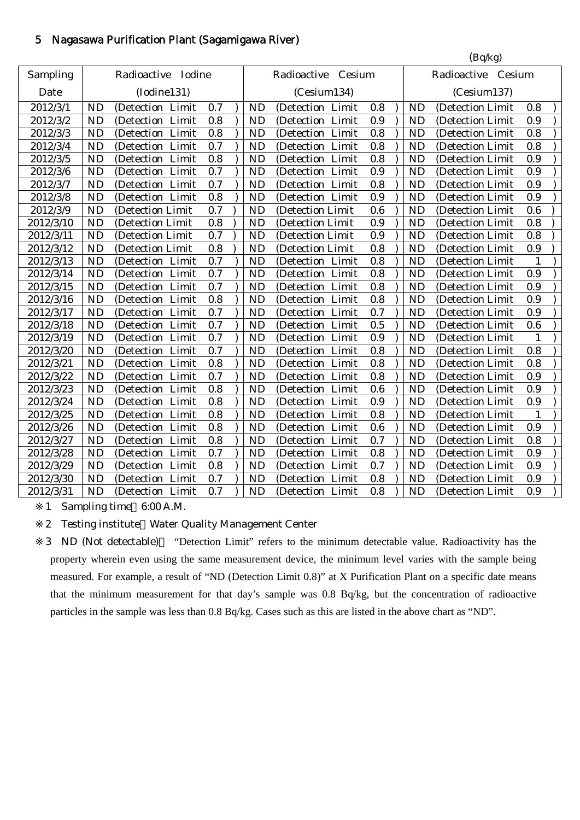# 5 Nagasawa Purification Plant (Sagamigawa River)

|           |           |                     |     |           |                      |         |           | (Bq/kg)            |     |  |
|-----------|-----------|---------------------|-----|-----------|----------------------|---------|-----------|--------------------|-----|--|
| Sampling  |           | Radioactive Iodine  |     |           | Radioactive Cesium   |         |           | Radioactive Cesium |     |  |
| Date      |           | (Iodine131)         |     |           | (Cesium134)          |         |           | (Cesium137)        |     |  |
| 2012/3/1  | <b>ND</b> | (Detection Limit    | 0.7 | <b>ND</b> | (Detection Limit     | 0.8     | <b>ND</b> | (Detection Limit   | 0.8 |  |
| 2012/3/2  | <b>ND</b> | (Detection<br>Limit | 0.8 | <b>ND</b> | (Detection<br>Limit  | 0.9     | <b>ND</b> | (Detection Limit   | 0.9 |  |
| 2012/3/3  | <b>ND</b> | (Detection Limit    | 0.8 | <b>ND</b> | (Detection Limit     | 0.8     | <b>ND</b> | (Detection Limit   | 0.8 |  |
| 2012/3/4  | <b>ND</b> | (Detection Limit    | 0.7 | <b>ND</b> | (Detection Limit     | 0.8     | <b>ND</b> | (Detection Limit   | 0.8 |  |
| 2012/3/5  | <b>ND</b> | (Detection Limit    | 0.8 | <b>ND</b> | (Detection Limit     | 0.8     | <b>ND</b> | (Detection Limit   | 0.9 |  |
| 2012/3/6  | <b>ND</b> | (Detection Limit    | 0.7 | <b>ND</b> | (Detection Limit     | 0.9     | <b>ND</b> | (Detection Limit   | 0.9 |  |
| 2012/3/7  | <b>ND</b> | (Detection Limit    | 0.7 | <b>ND</b> | (Detection Limit     | 0.8     | <b>ND</b> | (Detection Limit   | 0.9 |  |
| 2012/3/8  | <b>ND</b> | (Detection Limit    | 0.8 | <b>ND</b> | (Detection Limit     | 0.9     | <b>ND</b> | (Detection Limit   | 0.9 |  |
| 2012/3/9  | <b>ND</b> | (Detection Limit    | 0.7 | <b>ND</b> | (Detection Limit     | 0.6     | <b>ND</b> | (Detection Limit   | 0.6 |  |
| 2012/3/10 | <b>ND</b> | (Detection Limit    | 0.8 | <b>ND</b> | (Detection Limit     | 0.9     | <b>ND</b> | (Detection Limit   | 0.8 |  |
| 2012/3/11 | <b>ND</b> | (Detection Limit    | 0.7 | <b>ND</b> | (Detection Limit     | 0.9     | <b>ND</b> | (Detection Limit   | 0.8 |  |
| 2012/3/12 | <b>ND</b> | (Detection Limit    | 0.8 | <b>ND</b> | (Detection Limit     | 0.8     | <b>ND</b> | (Detection Limit   | 0.9 |  |
| 2012/3/13 | <b>ND</b> | (Detection Limit    | 0.7 | <b>ND</b> | (Detection Limit     | $0.8\,$ | <b>ND</b> | (Detection Limit   | 1   |  |
| 2012/3/14 | <b>ND</b> | (Detection Limit    | 0.7 | <b>ND</b> | (Detection Limit     | 0.8     | <b>ND</b> | (Detection Limit   | 0.9 |  |
| 2012/3/15 | <b>ND</b> | (Detection Limit    | 0.7 | <b>ND</b> | (Detection Limit     | 0.8     | <b>ND</b> | (Detection Limit   | 0.9 |  |
| 2012/3/16 | <b>ND</b> | (Detection Limit    | 0.8 | <b>ND</b> | (Detection Limit     | 0.8     | <b>ND</b> | (Detection Limit   | 0.9 |  |
| 2012/3/17 | <b>ND</b> | (Detection Limit    | 0.7 | <b>ND</b> | (Detection Limit     | 0.7     | <b>ND</b> | (Detection Limit   | 0.9 |  |
| 2012/3/18 | <b>ND</b> | (Detection Limit    | 0.7 | <b>ND</b> | (Detection Limit     | 0.5     | <b>ND</b> | (Detection Limit   | 0.6 |  |
| 2012/3/19 | <b>ND</b> | Limit<br>(Detection | 0.7 | <b>ND</b> | (Detection)<br>Limit | 0.9     | <b>ND</b> | (Detection Limit   | 1   |  |
| 2012/3/20 | <b>ND</b> | (Detection Limit    | 0.7 | <b>ND</b> | (Detection Limit     | 0.8     | <b>ND</b> | (Detection Limit   | 0.8 |  |
| 2012/3/21 | <b>ND</b> | (Detection Limit    | 0.8 | <b>ND</b> | (Detection Limit     | 0.8     | <b>ND</b> | (Detection Limit   | 0.8 |  |
| 2012/3/22 | <b>ND</b> | Limit<br>(Detection | 0.7 | <b>ND</b> | (Detection Limit     | 0.8     | <b>ND</b> | (Detection Limit   | 0.9 |  |
| 2012/3/23 | <b>ND</b> | Limit<br>(Detection | 0.8 | <b>ND</b> | Limit<br>(Detection  | 0.6     | <b>ND</b> | (Detection Limit   | 0.9 |  |
| 2012/3/24 | <b>ND</b> | Limit<br>(Detection | 0.8 | <b>ND</b> | (Detection Limit     | 0.9     | <b>ND</b> | (Detection Limit   | 0.9 |  |
| 2012/3/25 | <b>ND</b> | (Detection<br>Limit | 0.8 | <b>ND</b> | (Detection<br>Limit  | 0.8     | <b>ND</b> | (Detection Limit   | 1   |  |
| 2012/3/26 | <b>ND</b> | (Detection<br>Limit | 0.8 | <b>ND</b> | (Detection)<br>Limit | 0.6     | <b>ND</b> | (Detection Limit   | 0.9 |  |
| 2012/3/27 | <b>ND</b> | Limit<br>(Detection | 0.8 | <b>ND</b> | (Detection<br>Limit  | 0.7     | <b>ND</b> | (Detection Limit   | 0.8 |  |
| 2012/3/28 | <b>ND</b> | Limit<br>(Detection | 0.7 | <b>ND</b> | (Detection Limit     | 0.8     | <b>ND</b> | (Detection Limit   | 0.9 |  |
| 2012/3/29 | <b>ND</b> | (Detection Limit    | 0.8 | <b>ND</b> | (Detection Limit     | 0.7     | <b>ND</b> | (Detection Limit   | 0.9 |  |
| 2012/3/30 | <b>ND</b> | (Detection Limit    | 0.7 | <b>ND</b> | (Detection Limit     | 0.8     | <b>ND</b> | (Detection Limit   | 0.9 |  |
| 2012/3/31 | <b>ND</b> | (Detection Limit    | 0.7 | <b>ND</b> | (Detection Limit     | 0.8     | <b>ND</b> | (Detection Limit   | 0.9 |  |
|           |           |                     |     |           |                      |         |           |                    |     |  |

1 Sampling time 6:00 A.M.

2 Testing institute Water Quality Management Center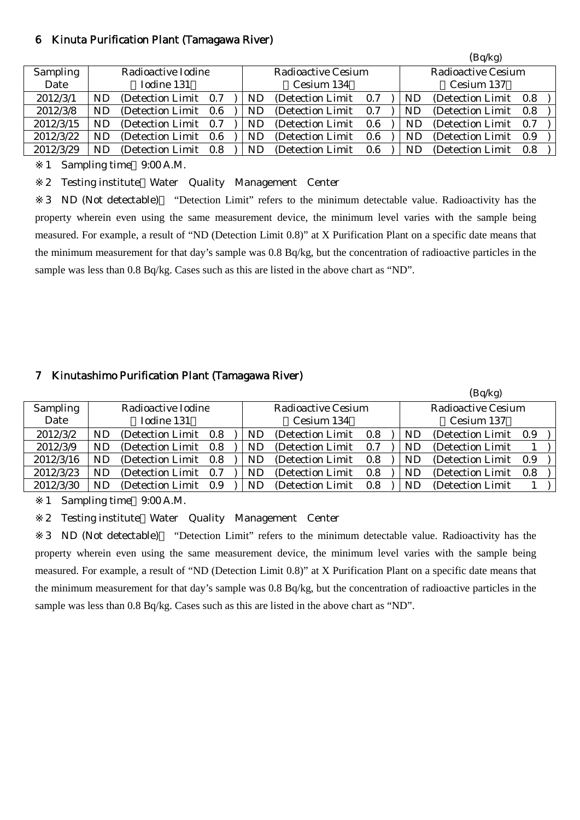#### 6 Kinuta Purification Plant (Tamagawa River)

|           |    |                       |  |    |                           |     |     | (Bq/kg)                   |  |
|-----------|----|-----------------------|--|----|---------------------------|-----|-----|---------------------------|--|
| Sampling  |    | Radioactive Iodine    |  |    | <b>Radioactive Cesium</b> |     |     | <b>Radioactive Cesium</b> |  |
| Date      |    | Iodine 131            |  |    | Cesium 134                |     |     | Cesium 137                |  |
| 2012/3/1  | ND | (Detection Limit 0.7) |  | ND | (Detection Limit)         | 0.7 | ND  | (Detection Limit 0.8)     |  |
| 2012/3/8  | ND | (Detection Limit 0.6) |  | ND | (Detection Limit)         | 0.7 | ND  | (Detection Limit 0.8)     |  |
| 2012/3/15 | ND | (Detection Limit 0.7) |  | ND | (Detection Limit)         | 0.6 | ND. | (Detection Limit 0.7)     |  |
| 2012/3/22 | ND | (Detection Limit 0.6) |  | ND | (Detection Limit)         | 0.6 | ND  | (Detection Limit 0.9)     |  |
| 2012/3/29 | ND | (Detection Limit 0.8) |  | ND | (Detection Limit)         | 0.6 | ND  | (Detection Limit 0.8)     |  |

1 Sampling time 9:00 A.M.

2 Testing institute Water Quality Management Center

3 ND (Not detectable) "Detection Limit" refers to the minimum detectable value. Radioactivity has the property wherein even using the same measurement device, the minimum level varies with the sample being measured. For example, a result of "ND (Detection Limit 0.8)" at X Purification Plant on a specific date means that the minimum measurement for that day's sample was 0.8 Bq/kg, but the concentration of radioactive particles in the sample was less than 0.8 Bq/kg. Cases such as this are listed in the above chart as "ND".

## 7 Kinutashimo Purification Plant (Tamagawa River)

|                 |           |                    |       |           |                           |     |           | (Bq/kg)                   |       |  |
|-----------------|-----------|--------------------|-------|-----------|---------------------------|-----|-----------|---------------------------|-------|--|
| <b>Sampling</b> |           | Radioactive Iodine |       |           | <b>Radioactive Cesium</b> |     |           | <b>Radioactive Cesium</b> |       |  |
| Date            |           | Iodine 131         |       |           | Cesium 134                |     |           | Cesium 137                |       |  |
| 2012/3/2        | ND        | (Detection Limit)  | - 0.8 | <b>ND</b> | (Detection Limit)         | 0.8 | ND        | (Detection Limit)         | 0.9   |  |
| 2012/3/9        | <b>ND</b> | (Detection Limit)  | 0.8   | ND.       | (Detection Limit)         | 0.7 | <b>ND</b> | (Detection Limit)         |       |  |
| 2012/3/16       | ND        | (Detection Limit)  | 0.8   | <b>ND</b> | (Detection Limit)         | 0.8 | <b>ND</b> | (Detection Limit)         | - 0.9 |  |
| 2012/3/23       | <b>ND</b> | (Detection Limit)  | 0.7   | ND.       | (Detection Limit)         | 0.8 | <b>ND</b> | (Detection Limit)         | 0.8   |  |
| 2012/3/30       | <b>ND</b> | (Detection Limit)  | 0.9   | <b>ND</b> | (Detection Limit)         | 0.8 | ND        | (Detection Limit)         |       |  |

1 Sampling time 9:00 A.M.

2 Testing institute Water Quality Management Center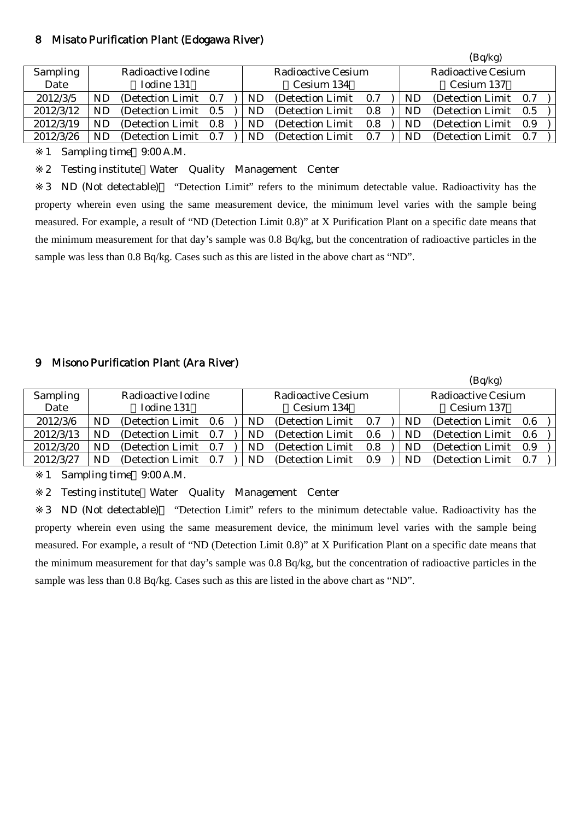#### 8 Misato Purification Plant (Edogawa River)

|           |    |                       |       |    |                    |     |    | (Bq/kg)               |     |  |
|-----------|----|-----------------------|-------|----|--------------------|-----|----|-----------------------|-----|--|
| Sampling  |    | Radioactive Iodine    |       |    | Radioactive Cesium |     |    | Radioactive Cesium    |     |  |
| Date      |    | Iodine 131            |       |    | Cesium 134         |     |    | Cesium 137            |     |  |
| 2012/3/5  | ND | (Detection Limit 0.7) |       | ND | (Detection Limit)  | 0.7 | ND | (Detection Limit 0.7) |     |  |
| 2012/3/12 | ND | (Detection Limit 0.5) |       | ND | (Detection Limit)  | 0.8 | ND | (Detection Limit 0.5) |     |  |
| 2012/3/19 | ND | (Detection Limit)     | - 0.8 | ND | (Detection Limit)  | 0.8 | ND | (Detection Limit)     | 0.9 |  |
| 2012/3/26 | ND | (Detection Limit 0.7) |       | ND | (Detection Limit)  | 0.7 | ND | (Detection Limit)     | 0.7 |  |

1 Sampling time 9:00 A.M.

2 Testing institute Water Quality Management Center

3 ND (Not detectable) "Detection Limit" refers to the minimum detectable value. Radioactivity has the property wherein even using the same measurement device, the minimum level varies with the sample being measured. For example, a result of "ND (Detection Limit 0.8)" at X Purification Plant on a specific date means that the minimum measurement for that day's sample was 0.8 Bq/kg, but the concentration of radioactive particles in the sample was less than 0.8 Bq/kg. Cases such as this are listed in the above chart as "ND".

## 9 Misono Purification Plant (Ara River)

|           |    |                       |     |           |                    |     |           | (Bq/kg)                   |     |
|-----------|----|-----------------------|-----|-----------|--------------------|-----|-----------|---------------------------|-----|
| Sampling  |    | Radioactive Iodine    |     |           | Radioactive Cesium |     |           | <b>Radioactive Cesium</b> |     |
| Date      |    | Iodine 131            |     |           | Cesium 134         |     |           | Cesium 137                |     |
| 2012/3/6  | ND | (Detection Limit 0.6  |     | <b>ND</b> | (Detection Limit)  | 0.7 | <b>ND</b> | (Detection Limit 0.6)     |     |
| 2012/3/13 | ND | (Detection Limit 0.7) |     | ND        | (Detection Limit)  | 0.6 | ND        | (Detection Limit)         | 0.6 |
| 2012/3/20 | ND | (Detection Limit 0.7) |     | ND        | (Detection Limit)  | 0.8 | ND        | (Detection Limit)         | 0.9 |
| 2012/3/27 | ND | (Detection Limit)     | 0.7 | ND        | (Detection Limit)  | 0.9 | ND        | (Detection Limit)         | 0.7 |

1 Sampling time 9:00 A.M.

2 Testing institute Water Quality Management Center